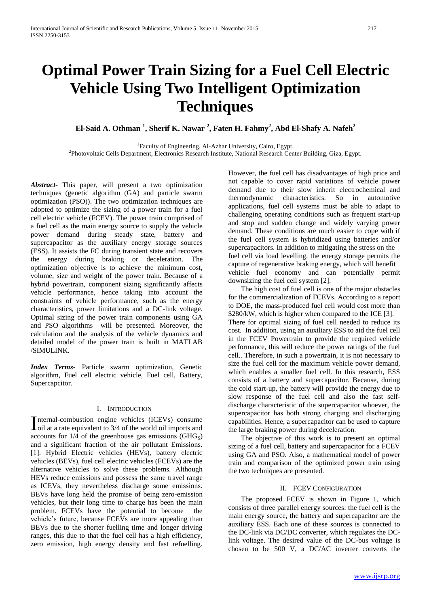# **Optimal Power Train Sizing for a Fuel Cell Electric Vehicle Using Two Intelligent Optimization Techniques**

**El-Said A. Othman <sup>1</sup> , Sherif K. Nawar <sup>2</sup> , Faten H. Fahmy<sup>2</sup> , Abd El-Shafy A. Nafeh<sup>2</sup>**

<sup>1</sup>Faculty of Engineering, Al-Azhar University, Cairo, Egypt. 2 Photovoltaic Cells Department, Electronics Research Institute, National Research Center Building, Giza, Egypt.

*Abstract***-** This paper, will present a two optimization techniques (genetic algorithm (GA) and particle swarm optimization (PSO)). The two optimization techniques are adopted to optimize the sizing of a power train for a fuel cell electric vehicle (FCEV). The power train comprised of a fuel cell as the main energy source to supply the vehicle power demand during steady state, battery and supercapacitor as the auxiliary energy storage sources (ESS). It assists the FC during transient state and recovers the energy during braking or deceleration. The optimization objective is to achieve the minimum cost, volume, size and weight of the power train. Because of a hybrid powertrain, component sizing significantly affects vehicle performance, hence taking into account the constraints of vehicle performance, such as the energy characteristics, power limitations and a DC-link voltage. Optimal sizing of the power train components using GA and PSO algorithms will be presented. Moreover, the calculation and the analysis of the vehicle dynamics and detailed model of the power train is built in MATLAB /SIMULINK.

*Index Terms*- Particle swarm optimization, Genetic algorithm, Fuel cell electric vehicle, Fuel cell, Battery, Supercapcitor.

# I. INTRODUCTION

nternal-combustion engine vehicles (ICEVs) consume Internal-combustion engine vehicles (ICEVs) consume<br>
Ioil at a rate equivalent to 3/4 of the world oil imports and accounts for  $1/4$  of the greenhouse gas emissions (GHG<sub>S</sub>) and a significant fraction of the air pollutant Emissions. [1]. Hybrid Electric vehicles (HEVs), battery electric vehicles (BEVs), fuel cell electric vehicles (FCEVs) are the alternative vehicles to solve these problems. Although HEVs reduce emissions and possess the same travel range as ICEVs, they nevertheless discharge some emissions. BEVs have long held the promise of being zero-emission vehicles, but their long time to charge has been the main problem. FCEVs have the potential to become the vehicle's future, because FCEVs are more appealing than BEVs due to the shorter fuelling time and longer driving ranges, this due to that the fuel cell has a high efficiency, zero emission, high energy density and fast refuelling.

However, the fuel cell has disadvantages of high price and not capable to cover rapid variations of vehicle power demand due to their slow inherit electrochemical and thermodynamic characteristics. So in automotive applications, fuel cell systems must be able to adapt to challenging operating conditions such as frequent start-up and stop and sudden change and widely varying power demand. These conditions are much easier to cope with if the fuel cell system is hybridized using batteries and/or supercapacitors. In addition to mitigating the stress on the fuel cell via load levelling, the energy storage permits the capture of regenerative braking energy, which will benefit vehicle fuel economy and can potentially permit downsizing the fuel cell system [2].

 The high cost of fuel cell is one of the major obstacles for the commercialization of FCEVs. According to a report to DOE, the mass-produced fuel cell would cost more than \$280/kW, which is higher when compared to the ICE [3]. There for optimal sizing of fuel cell needed to reduce its cost. In addition, using an auxiliary ESS to aid the fuel cell in the FCEV Powertrain to provide the required vehicle performance, this will reduce the power ratings of the fuel cell.. Therefore, in such a powertrain, it is not necessary to size the fuel cell for the maximum vehicle power demand, which enables a smaller fuel cell. In this research, ESS consists of a battery and supercapacitor. Because, during the cold start-up, the battery will provide the energy due to slow response of the fuel cell and also the fast selfdischarge characteristic of the supercapacitor whoever, the supercapacitor has both strong charging and discharging capabilities. Hence, a supercapacitor can be used to capture the large braking power during deceleration.

 The objective of this work is to present an optimal sizing of a fuel cell, battery and supercapacitor for a FCEV using GA and PSO. Also, a mathematical model of power train and comparison of the optimized power train using the two techniques are presented.

# II. FCEV CONFIGURATION

 The proposed FCEV is shown in Figure 1, which consists of three parallel energy sources: the fuel cell is the main energy source, the battery and supercapacitor are the auxiliary ESS. Each one of these sources is connected to the DC-link via DC/DC converter, which regulates the DClink voltage. The desired value of the DC-bus voltage is chosen to be 500 V, a DC/AC inverter converts the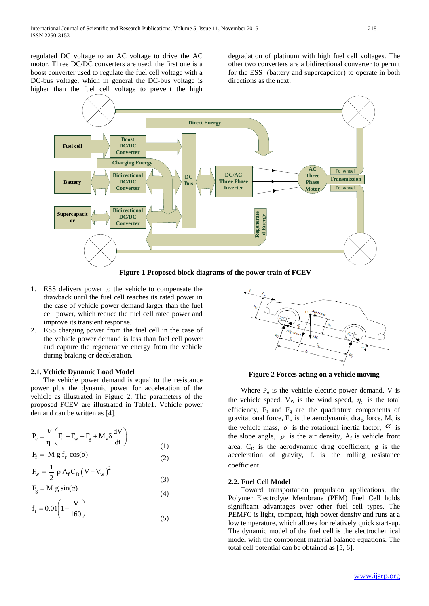regulated DC voltage to an AC voltage to drive the AC motor. Three DC/DC converters are used, the first one is a boost converter used to regulate the fuel cell voltage with a DC-bus voltage, which in general the DC-bus voltage is higher than the fuel cell voltage to prevent the high

degradation of platinum with high fuel cell voltages. The other two converters are a bidirectional converter to permit for the ESS (battery and supercapcitor) to operate in both directions as the next.



- 1. ESS delivers power to the vehicle to compensate the drawback until the fuel cell reaches its rated power in the case of vehicle power demand larger than the fuel cell power, which reduce the fuel cell rated power and improve its transient response.
- 2. ESS charging power from the fuel cell in the case of the vehicle power demand is less than fuel cell power and capture the regenerative energy from the vehicle during braking or deceleration.

# **2.1. Vehicle Dynamic Load Model**

 The vehicle power demand is equal to the resistance power plus the dynamic power for acceleration of the vehicle as illustrated in Figure 2. The parameters of the proposed FCEV are illustrated in Table1. Vehicle power demand can be written as [4].

(1)

$$
P_e = \frac{V}{\eta_t} \left( F_f + F_w + F_g + M_v \delta \frac{dV}{dt} \right)
$$
 (1)

$$
F_{f} = M g f_{r} \cos(\alpha)
$$
 (2)

$$
F_w = \frac{1}{2} \rho A_f C_D (V - V_w)^2
$$
\n(3)

$$
F_g = M g \sin(\alpha)
$$
\n(4)

$$
f_r = 0.01 \left( 1 + \frac{v}{160} \right)
$$
 (5)



**Figure 2 Forces acting on a vehicle moving**

Where  $P_e$  is the vehicle electric power demand, V is the vehicle speed,  $V_W$  is the wind speed,  $\eta_t$  is the total efficiency,  $F_f$  and  $F_g$  are the quadrature components of gravitational force,  $F_w$  is the aerodynamic drag force,  $M_v$  is the vehicle mass,  $\delta$  is the rotational inertia factor,  $\alpha$  is the slope angle,  $\rho$  is the air density,  $A_f$  is vehicle front area,  $C_D$  is the aerodynamic drag coefficient, g is the acceleration of gravity,  $f_r$  is the rolling resistance coefficient.

# **2.2. Fuel Cell Model**

 Toward transportation propulsion applications, the Polymer Electrolyte Membrane (PEM) Fuel Cell holds significant advantages over other fuel cell types. The PEMFC is light, compact, high power density and runs at a low temperature, which allows for relatively quick start-up. The dynamic model of the fuel cell is the electrochemical model with the component material balance equations. The total cell potential can be obtained as [5, 6].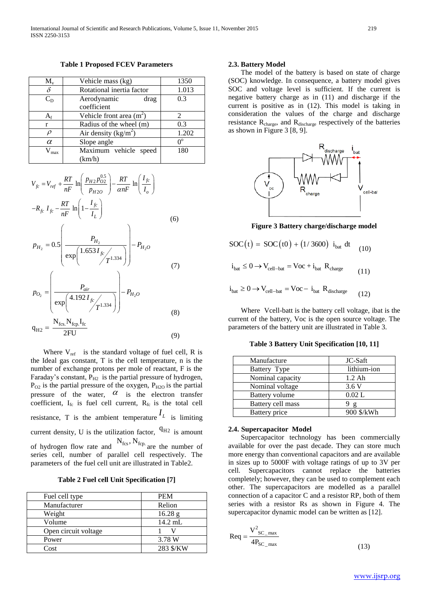**Table 1 Proposed FCEV Parameters**

| $M_{v}$     | Vehicle mass (kg)               | 1350        |
|-------------|---------------------------------|-------------|
| δ           | Rotational inertia factor       | 1.013       |
| $C_{D}$     | Aerodynamic<br>drag             | 0.3         |
|             | coefficient                     |             |
| $A_{\rm f}$ | Vehicle front area $(m^2)$      | 2           |
| r           | Radius of the wheel (m)         | 0.3         |
| ρ           | Air density ( $\text{kg/m}^2$ ) | 1.202       |
| $\alpha$    | Slope angle                     | $0^{\circ}$ |
| max         | Maximum vehicle speed           | 180         |
|             | (km/h)                          |             |

$$
V_{fc} = V_{ref} + \frac{RT}{nF} \ln \left( \frac{p_{H2} p_{02}^{0.5}}{p_{H20}} \right) - \frac{RT}{\alpha nF} \ln \left( \frac{I_{fc}}{I_o} \right)
$$
  
\n
$$
-R_{fc} I_{fc} - \frac{RT}{nF} \ln \left( 1 - \frac{I_{fc}}{I_L} \right)
$$
  
\n
$$
p_{H_2} = 0.5 \left( \frac{P_{H_2}}{\exp \left( 1.653 I_{fc} / \frac{1.334}{T} \right)} \right) - P_{H_2O}
$$
  
\n
$$
p_{O_2} = \left( \frac{P_{air}}{\exp \left( 4.192 I_{fc} / \frac{1.334}{T} \right)} \right) - P_{H_2O}
$$
  
\n
$$
q_{H2} = \frac{N_{fcs} N_{fcp} I_{fc}}{2FU}
$$
  
\n(8)

Where  $V_{ref}$  is the standard voltage of fuel cell, R is the Ideal gas constant, T is the cell temperature, n is the number of exchange protons per mole of reactant, F is the Faraday's constant,  $P_{H2}$  is the partial pressure of hydrogen,  $P_{O2}$  is the partial pressure of the oxygen,  $P_{H2O}$  is the partial pressure of the water,  $\alpha$  is the electron transfer coefficient,  $I_{fc}$  is fuel cell current,  $R_{fc}$  is the total cell resistance, T is the ambient temperature  $I_L$  is limiting current density, U is the utilization factor,  $^{q_{H2}}$  is amount of hydrogen flow rate and  $N_{\text{fcs}}$ ,  $N_{\text{fcp}}$  are the number of series cell, number of parallel cell respectively. The parameters of the fuel cell unit are illustrated in Table2.

**Table 2 Fuel cell Unit Specification [7]**

| Fuel cell type       | <b>PEM</b> |
|----------------------|------------|
| Manufacturer         | Relion     |
| Weight               | 16.28 g    |
| Volume               | $14.2$ mL  |
| Open circuit voltage |            |
| Power                | 3.78 W     |
| Cost                 | 283 \$/KW  |

# **2.3. Battery Model**

 The model of the battery is based on state of charge (SOC) knowledge. In consequence, a battery model gives SOC and voltage level is sufficient. If the current is negative battery charge as in (11) and discharge if the current is positive as in (12). This model is taking in consideration the values of the charge and discharge resistance  $R_{charge}$ , and  $R_{discharge}$  respectively of the batteries as shown in Figure 3 [8, 9].



#### **Figure 3 Battery charge/discharge model**

$$
SOC(t) = SOC(t0) + (1/3600) ibat dt
$$
 (10)

$$
i_{bat} \le 0 \rightarrow V_{cell-bat} = Voc + i_{bat} R_{charge}
$$
 (11)

$$
i_{bat} \ge 0 \to V_{cell-bat} = Voc - i_{bat} R_{discharge}
$$
 (12)

 Where Vcell-batt is the battery cell voltage, ibat is the current of the battery, Voc is the open source voltage. The parameters of the battery unit are illustrated in Table 3.

**Table 3 Battery Unit Specification [10, 11]**

| Manufacture           | JC-Saft      |  |
|-----------------------|--------------|--|
| Battery Type          | lithium-ion  |  |
| Nominal capacity      | $1.2$ Ah     |  |
| Nominal voltage       | 3.6V         |  |
| <b>Battery volume</b> | 0.02 L       |  |
| Battery cell mass     | $\mathbf{p}$ |  |
| Battery price         | 900 \$/kWh   |  |

#### **2.4. Supercapacitor Model**

 Supercapacitor technology has been commercially available for over the past decade. They can store much more energy than conventional capacitors and are available in sizes up to 5000F with voltage ratings of up to 3V per cell. Supercapacitors cannot replace the batteries completely; however, they can be used to complement each other. The supercapacitors are modelled as a parallel connection of a capacitor C and a resistor RP, both of them series with a resistor Rs as shown in Figure 4. The supercapacitor dynamic model can be written as [12].

$$
Req = \frac{V_{SC\_max}^2}{4P_{SC\_max}}
$$
 (13)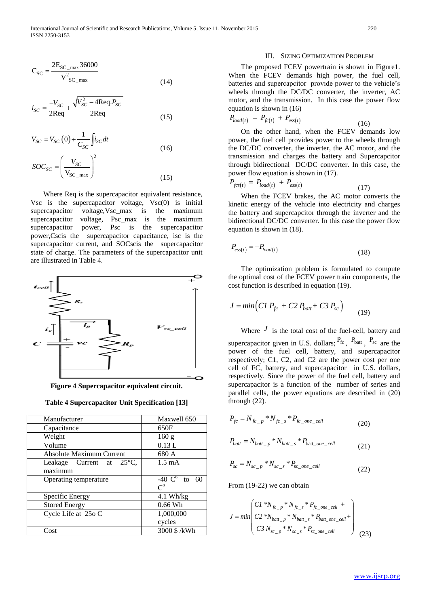$$
C_{SC} = \frac{2E_{SC\_max} 36000}{V_{SC\_max}^2}
$$
 (14)

$$
i_{SC} = \frac{-V_{SC}}{2\text{Req}} + \frac{\sqrt{V_{SC}^2 - 4\text{Req}.P_{SC}}}{2\text{Req}}
$$
(15)

$$
V_{SC} = V_{SC}(0) + \frac{1}{C_{SC}} \int i_{SC} dt
$$
  

$$
SOC_{SC} = \left(\frac{V_{SC}}{V_{SC\_max}}\right)^2
$$
 (15)



**Figure 4 Supercapacitor equivalent circuit.**

|                                                                                                   |                               | The proposed FCEV powertrain is shown in Figure 1.                                                                                                                                                          |               |
|---------------------------------------------------------------------------------------------------|-------------------------------|-------------------------------------------------------------------------------------------------------------------------------------------------------------------------------------------------------------|---------------|
| $C_{SC} = \frac{2E_{SC_{max}} 36000}{V_{SC_{max}}^2}$                                             |                               | When the FCEV demands high power, the fuel cell,                                                                                                                                                            |               |
|                                                                                                   | (14)                          | batteries and supercapcitor provide power to the vehicle's                                                                                                                                                  |               |
|                                                                                                   |                               | wheels through the DC/DC converter, the inverter, AC                                                                                                                                                        |               |
| $i_{SC} = \frac{-V_{SC}}{2\text{Req}} + \frac{\sqrt{V_{SC}^2 - 4\text{Req}.P_{SC}}}{2\text{Req}}$ |                               | motor, and the transmission. In this case the power flow                                                                                                                                                    |               |
|                                                                                                   |                               | equation is shown in $(16)$                                                                                                                                                                                 |               |
|                                                                                                   | (15)                          | $P_{load(t)} = P_{fc(t)} + P_{ess(t)}$                                                                                                                                                                      | (16)          |
|                                                                                                   |                               | On the other hand, when the FCEV demands low                                                                                                                                                                |               |
| $V_{SC} = V_{SC}(0) + \frac{1}{C_{SC}} \int i_{SC} dt$                                            |                               | power, the fuel cell provides power to the wheels through                                                                                                                                                   |               |
|                                                                                                   | (16)                          | the DC/DC converter, the inverter, the AC motor, and the                                                                                                                                                    |               |
|                                                                                                   |                               | transmission and charges the battery and Supercapcitor                                                                                                                                                      |               |
| $SOC_{SC} = \left(\frac{V_{SC}}{V_{SC}}\right)^2$                                                 |                               | through bidirectional DC/DC converter. In this case, the                                                                                                                                                    |               |
|                                                                                                   |                               | power flow equation is shown in (17).                                                                                                                                                                       |               |
|                                                                                                   | (15)                          | $P_{fcs(t)} = P_{load(t)} + P_{ess(t)}$                                                                                                                                                                     |               |
|                                                                                                   |                               |                                                                                                                                                                                                             | (17)          |
| Where Req is the supercapacitor equivalent resistance,                                            |                               | When the FCEV brakes, the AC motor converts the                                                                                                                                                             |               |
| Vsc is the supercapacitor voltage, $Vsc(0)$ is initial                                            |                               | kinetic energy of the vehicle into electricity and charges                                                                                                                                                  |               |
| supercapacitor voltage, Vsc_max is the maximum                                                    |                               | the battery and supercapcitor through the inverter and the                                                                                                                                                  |               |
| supercapacitor voltage, Psc_max is the maximum                                                    |                               | bidirectional DC/DC converter. In this case the power flow                                                                                                                                                  |               |
| supercapacitor power, Psc is the supercapacitor                                                   |                               | equation is shown in $(18)$ .                                                                                                                                                                               |               |
| power, Cscis the supercapacitor capacitance, isc is the                                           |                               |                                                                                                                                                                                                             |               |
| supercapacitor current, and SOCscis the supercapacitor                                            |                               | $P_{ess(t)} = -P_{load(t)}$                                                                                                                                                                                 |               |
| state of charge. The parameters of the supercapacitor unit                                        |                               |                                                                                                                                                                                                             | (18)          |
| are illustrated in Table 4.                                                                       |                               |                                                                                                                                                                                                             |               |
|                                                                                                   |                               | The optimization problem is formulated to compute                                                                                                                                                           |               |
|                                                                                                   |                               | the optimal cost of the FCEV power train components, the                                                                                                                                                    |               |
|                                                                                                   |                               | cost function is described in equation (19).                                                                                                                                                                |               |
|                                                                                                   |                               |                                                                                                                                                                                                             |               |
|                                                                                                   |                               | $J = min (CI P_{fc} + C2 P_{batt} + C3 P_{sc})$                                                                                                                                                             |               |
|                                                                                                   |                               |                                                                                                                                                                                                             | (19)          |
| $\begin{array}{c}\n i_{cell} \bigcap \\  \searrow \searrow \\  i_c \bigcap\n \end{array}$         | $V_{sc\_cell}$                |                                                                                                                                                                                                             |               |
|                                                                                                   |                               | Where $J$ is the total cost of the fuel-cell, battery and                                                                                                                                                   |               |
|                                                                                                   |                               | supercapacitor given in U.S. dollars; $P_{\text{fc}}$ , $P_{\text{batt}}$ , $P_{\text{sc}}$ are the                                                                                                         |               |
|                                                                                                   |                               | power of the fuel cell, battery, and supercapacitor                                                                                                                                                         |               |
|                                                                                                   |                               | respectively; C1, C2, and C2 are the power cost per one                                                                                                                                                     |               |
|                                                                                                   |                               | cell of FC, battery, and supercapacitor in U.S. dollars,                                                                                                                                                    |               |
|                                                                                                   |                               | respectively. Since the power of the fuel cell, battery and                                                                                                                                                 |               |
| Figure 4 Supercapacitor equivalent circuit.                                                       |                               | supercapacitor is a function of the number of series and                                                                                                                                                    |               |
|                                                                                                   |                               | parallel cells, the power equations are described in (20)                                                                                                                                                   |               |
| <b>Table 4 Supercapacitor Unit Specification [13]</b>                                             |                               | through $(22)$ .                                                                                                                                                                                            |               |
|                                                                                                   |                               |                                                                                                                                                                                                             |               |
| Manufacturer                                                                                      | Maxwell 650<br>650F           | $P_{fc} = N_{fc\_p} * N_{fc\_s} * P_{fc\_one\_cell}$                                                                                                                                                        | (20)          |
| Capacitance<br>Weight                                                                             | 160 g                         |                                                                                                                                                                                                             |               |
| Volume                                                                                            | 0.13L                         | $P_{batt} = N_{batt\_p} * N_{batt\_s} * P_{batt\_one\_cell}$                                                                                                                                                |               |
| <b>Absolute Maximum Current</b>                                                                   | 680 A                         |                                                                                                                                                                                                             | (21)          |
| $25^{\circ}C$ ,<br>Leakage<br>Current<br>at                                                       | $1.5 \text{ mA}$              |                                                                                                                                                                                                             |               |
| maximum                                                                                           |                               | $P_{sc} = N_{sc} p^* N_{sc} s^* P_{sc}$ one cell                                                                                                                                                            | (22)          |
| Operating temperature                                                                             | -40 $\overline{C}$<br>to $60$ |                                                                                                                                                                                                             |               |
|                                                                                                   | $C^{\mathrm{o}}$              | From $(19-22)$ we can obtain                                                                                                                                                                                |               |
| Specific Energy                                                                                   | $4.1$ Wh/kg                   |                                                                                                                                                                                                             |               |
| <b>Stored Energy</b>                                                                              | $0.66$ Wh                     |                                                                                                                                                                                                             |               |
| Cycle Life at 25o C                                                                               | 1,000,000                     |                                                                                                                                                                                                             |               |
|                                                                                                   | cycles                        | $J = min \begin{pmatrix} C I^{-*} N_{fc\_p} * N_{fc\_s} * P_{fc\_one\_cell} + \\ C 2^{-*} N_{batt\_p} * N_{batt\_s} * P_{batt\_one\_cell} + \\ C 3 N_{sc\_p} * N_{sc\_s} * P_{sc\_one\_cell} \end{pmatrix}$ |               |
| Cost                                                                                              | 3000 \$ /kWh                  |                                                                                                                                                                                                             | (23)          |
|                                                                                                   |                               |                                                                                                                                                                                                             |               |
|                                                                                                   |                               |                                                                                                                                                                                                             |               |
|                                                                                                   |                               |                                                                                                                                                                                                             |               |
|                                                                                                   |                               |                                                                                                                                                                                                             |               |
|                                                                                                   |                               |                                                                                                                                                                                                             | www.ijsrp.org |
|                                                                                                   |                               |                                                                                                                                                                                                             |               |

#### III. SIZING OPTIMIZATION PROBLEM

$$
P_{load(t)} = P_{fc(t)} + P_{ess(t)} \tag{16}
$$

$$
P_{fcs(t)} = P_{load(t)} + P_{ess(t)} \tag{17}
$$

$$
P_{\text{ess}(t)} = -P_{\text{load}(t)}\tag{18}
$$

$$
J = min\Big(C1\ P_{fc} + C2\ P_{batt} + C3\ P_{sc}\Big) \tag{19}
$$

$$
P_{fc} = N_{fc\_p} * N_{fc\_s} * P_{fc\_one\_cell}
$$
 (20)

$$
P_{batt} = N_{batt\_p} * N_{batt\_s} * P_{batt\_one\_cell}
$$
 (21)

$$
P_{sc} = N_{sc\_p} * N_{sc\_s} * P_{sc\_one\_cell}
$$
 (22)

$$
J = min \begin{pmatrix} C1 & *N_{fc\_p} & *N_{fc\_s} & *P_{fc\_one\_cell} & + \\ C2 & *N_{batt\_p} & *N_{batt\_s} & *P_{batt\_one\_cell} & + \\ C3 & N_{sc\_p} & *N_{sc\_s} & *P_{sc\_one\_cell} \end{pmatrix}
$$
(23)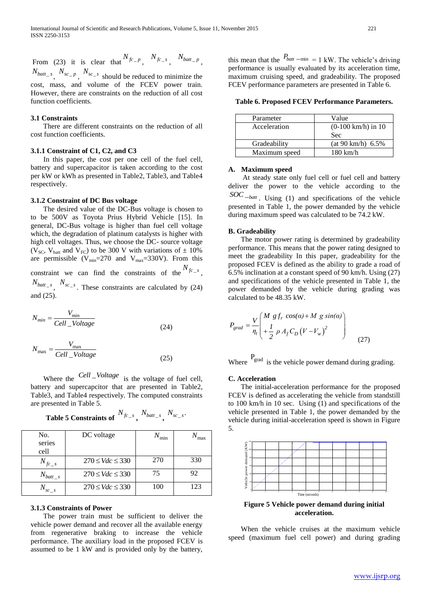From (23) it is clear that  $N_{fc_p}$ ,  $N_{fc_s}$ ,  $N_{batt_p}$ ,

 $N_{batt\_s}$ ,  $N_{sc\_p}$ ,  $N_{sc\_s}$  should be reduced to minimize the cost, mass, and volume of the FCEV power train. However, there are constraints on the reduction of all cost function coefficients.

# **3.1 Constraints**

 There are different constraints on the reduction of all cost function coefficients.

#### **3.1.1 Constraint of C1, C2, and C3**

 In this paper, the cost per one cell of the fuel cell, battery and supercapacitor is taken according to the cost per kW or kWh as presented in Table2, Table3, and Table4 respectively.

# **3.1.2 Constraint of DC Bus voltage**

 The desired value of the DC-Bus voltage is chosen to to be 500V as Toyota Prius Hybrid Vehicle [15]. In general, DC-Bus voltage is higher than fuel cell voltage which, the degradation of platinum catalysts is higher with high cell voltages. Thus, we choose the DC- source voltage (V<sub>SC</sub>, V<sub>batt</sub> and V<sub>FC</sub>) to be 300 V with variations of  $\pm$  10% are permissible ( $V_{min}$ =270 and  $V_{max}$ =330V). From this constraint we can find the constraints of the  $N_{fc}$ <sub>s</sub>,  $N_{batt\_s}$ ,  $N_{sc\_s}$ . These constraints are calculated by (24) and (25).

$$
N_{min} = \frac{V_{min}}{Cell\_Voltage}
$$
\n(24)

$$
N_{\text{max}} = \frac{V_{\text{max}}}{Cell\_Voltage}
$$
\n(25)

Where the <sup>Cell</sup> - Voltage is the voltage of fuel cell, battery and supercapcitor that are presented in Table2, Table3, and Table4 respectively. The computed constraints are presented in Table 5.

| No.<br>series<br>cell | DC voltage              | $N_{\rm min}$ | max |
|-----------------------|-------------------------|---------------|-----|
| $N_{fc_s}$            | $270 \leq Vdc \leq 330$ | 270           | 330 |
| $N_{batt\_s}$         | $270 \leq Vdc \leq 330$ | 75            | 92  |
|                       | $270 \leq Vdc \leq 330$ | 100           | 123 |

# **Table 5 Constraints of**  $N_{fc\_s}$ ,  $N_{batt\_s}$ ,  $N_{sc\_s}$ .

#### **3.1.3 Constraints of Power**

 The power train must be sufficient to deliver the vehicle power demand and recover all the available energy from regenerative braking to increase the vehicle performance. The auxiliary load in the proposed FCEV is assumed to be 1 kW and is provided only by the battery,

this mean that the  $P_{batt - min} = 1$  kW. The vehicle's driving performance is usually evaluated by its acceleration time, maximum cruising speed, and gradeability. The proposed FCEV performance parameters are presented in Table 6.

**Table 6. Proposed FCEV Performance Parameters.**

| Parameter     | Value                        |  |
|---------------|------------------------------|--|
| Acceleration  | $(0-100 \text{ km/h})$ in 10 |  |
|               | Sec                          |  |
| Gradeability  | (at 90 km/h) 6.5%            |  |
| Maximum speed | $180 \text{ km/h}$           |  |

#### **A. Maximum speed**

 At steady state only fuel cell or fuel cell and battery deliver the power to the vehicle according to the  $SOC$ <sub>-batt</sub></sup>. Using (1) and specifications of the vehicle presented in Table 1, the power demanded by the vehicle during maximum speed was calculated to be 74.2 kW.

#### **B. Gradeability**

 The motor power rating is determined by gradeability performance. This means that the power rating designed to meet the gradeability In this paper, gradeability for the proposed FCEV is defined as the ability to grade a road of 6.5% inclination at a constant speed of 90 km/h. Using (27) and specifications of the vehicle presented in Table 1, the power demanded by the vehicle during grading was calculated to be 48.35 kW.

$$
P_{grad} = \frac{V}{\eta_t} \left( \frac{M g f_r \cos(\alpha) + M g \sin(\alpha)}{1 + \frac{1}{2} \rho A_f C_D (V - V_w)^2} \right)
$$
(27)

Where  $P_{\text{grad}}$  is the vehicle power demand during grading.

#### **C. Acceleration**

 The initial-acceleration performance for the proposed FCEV is defined as accelerating the vehicle from standstill to 100 km/h in 10 sec. Using (1) and specifications of the vehicle presented in Table 1, the power demanded by the vehicle during initial-acceleration speed is shown in Figure 5.



**acceleration.**

 When the vehicle cruises at the maximum vehicle speed (maximum fuel cell power) and during grading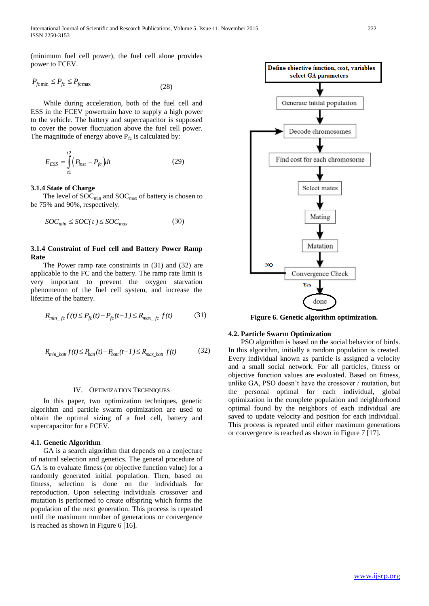(minimum fuel cell power), the fuel cell alone provides power to FCEV.

$$
P_{f c \min} \le P_{f c} \le P_{f c \max} \tag{28}
$$

 While during acceleration, both of the fuel cell and ESS in the FCEV powertrain have to supply a high power to the vehicle. The battery and supercapacitor is supposed to cover the power fluctuation above the fuel cell power. The magnitude of energy above  $P_{fc}$  is calculated by:

$$
E_{ESS} = \int_{t1}^{t2} (P_{inst} - P_{fc}) dt
$$
 (29)

#### **3.1.4 State of Charge**

The level of  $SOC<sub>min</sub>$  and  $SOC<sub>max</sub>$  of battery is chosen to be 75% and 90%, respectively.

$$
SOC_{min} \leq SOC(t) \leq SOC_{max} \tag{30}
$$

# **3.1.4 Constraint of Fuel cell and Battery Power Ramp Rate**

 The Power ramp rate constraints in (31) and (32) are applicable to the FC and the battery. The ramp rate limit is very important to prevent the oxygen starvation phenomenon of the fuel cell system, and increase the lifetime of the battery.

$$
R_{min_{f}:c} f(t) \le P_{fc}(t) - P_{fc}(t-1) \le R_{max_{f}:c} f(t)
$$
(31)

$$
R_{min\_batt} f(t) \le P_{batt}(t) - P_{batt}(t-1) \le R_{max\_batt} f(t)
$$
 (32)

#### IV. OPTIMIZATION TECHNIQUES

 In this paper, two optimization techniques, genetic algorithm and particle swarm optimization are used to obtain the optimal sizing of a fuel cell, battery and supercapacitor for a FCEV.

# **4.1. Genetic Algorithm**

 GA is a search algorithm that depends on a conjecture of natural selection and genetics. The general procedure of GA is to evaluate fitness (or objective function value) for a randomly generated initial population. Then, based on fitness, selection is done on the individuals for reproduction. Upon selecting individuals crossover and mutation is performed to create offspring which forms the population of the next generation. This process is repeated until the maximum number of generations or convergence is reached as shown in Figure 6 [16].



# **4.2. Particle Swarm Optimization**

 PSO algorithm is based on the social behavior of birds. In this algorithm, initially a random population is created. Every individual known as particle is assigned a velocity and a small social network. For all particles, fitness or objective function values are evaluated. Based on fitness, unlike GA, PSO doesn't have the crossover / mutation, but the personal optimal for each individual, global optimization in the complete population and neighborhood optimal found by the neighbors of each individual are saved to update velocity and position for each individual. This process is repeated until either maximum generations or convergence is reached as shown in Figure 7 [17].

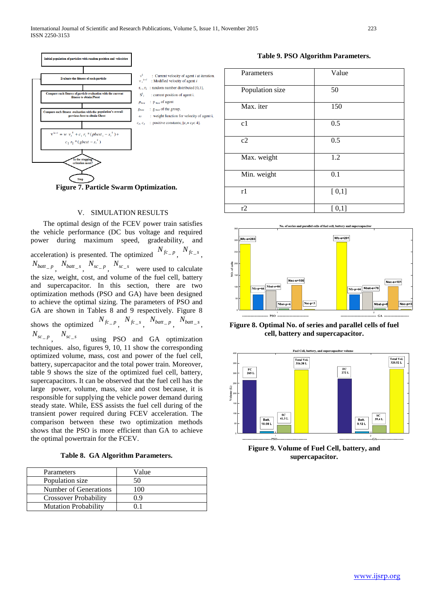



#### V. SIMULATION RESULTS

 The optimal design of the FCEV power train satisfies the vehicle performance (DC bus voltage and required power during maximum speed, gradeability, and acceleration) is presented. The optimized  $N_{fc-p}$ ,  $N_{fc-s}$ ,  $N_{batt\_p}$ ,  $N_{batt\_s}$ ,  $N_{sc\_p}$ ,  $N_{sc\_s}$  were used to calculate the size, weight, cost, and volume of the fuel cell, battery and supercapacitor. In this section, there are two optimization methods (PSO and GA) have been designed to achieve the optimal sizing. The parameters of PSO and GA are shown in Tables 8 and 9 respectively. Figure 8 shows the optimized  $N_{fc\_p}$ ,  $N_{fc\_s}$ ,  $N_{batt\_p}$ ,  $N_{batt\_s}$ ,  $N_{sc\_p}$ ,  $N_{sc\_s}$  using PSO and GA optimization techniques. also, figures 9, 10, 11 show the corresponding optimized volume, mass, cost and power of the fuel cell, battery, supercapacitor and the total power train. Moreover, table 9 shows the size of the optimized fuel cell, battery, supercapacitors. It can be observed that the fuel cell has the large power, volume, mass, size and cost because, it is responsible for supplying the vehicle power demand during steady state. While, ESS assists the fuel cell during of the transient power required during FCEV acceleration. The comparison between these two optimization methods shows that the PSO is more efficient than GA to achieve

**Table 8. GA Algorithm Parameters.**

the optimal powertrain for the FCEV.

| Parameters                   | Value |
|------------------------------|-------|
| Population size              | 50    |
| Number of Generations        | 100   |
| <b>Crossover Probability</b> | 09    |
| <b>Mutation Probability</b>  |       |

**Table 9. PSO Algorithm Parameters.**

| Parameters      | Value |
|-----------------|-------|
| Population size | 50    |
| Max. iter       | 150   |
| c1              | 0.5   |
| c2              | 0.5   |
| Max. weight     | 1.2   |
| Min. weight     | 0.1   |
| r1              | [0,1] |
| r2              | [0,1] |



**Figure 8. Optimal No. of series and parallel cells of fuel cell, battery and supercapacitor.**



**Figure 9. Volume of Fuel Cell, battery, and supercapacitor.**